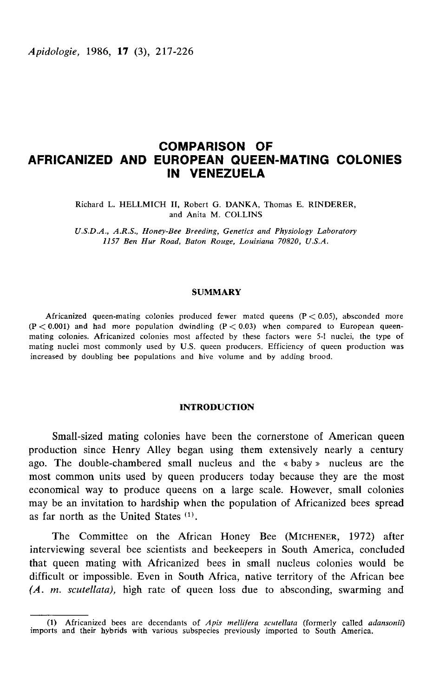# COMPARISON OF AFRICANIZED AND EUROPEAN QUEEN-MATING COLONIES IN VENEZUELA

Richard L. HELLMICH II, Robert G. DANKA, Thomas E. RINDERER and Anita M. COLLINS

U.S.D.A., A.R.S., Honey-Bee Breeding, Genetics and Physiology Laboratory 1157 Ben Hur Road, Baton Rouge, Louisiana 70820, U.S.A.

#### SUMMARY

Africanized queen-mating colonies produced fewer mated queens  $(P < 0.05)$ , absconded more  $(P < 0.001)$  and had more population dwindling  $(P < 0.03)$  when compared to European queenmating colonies. Africanized colonies most affected by these factors were 5-1 nuclei, the type of mating nuclei most commonly used by U.S. queen producers. Efficiency of queen production was increased by doubling bee populations and hive volume and by adding brood.

## INTRODUCTION

Small-sized mating colonies have been the cornerstone of American queen production since Henry Alley began using them extensively nearly a century ago. The double-chambered small nucleus and the  $\ast$  baby  $\ast$  nucleus are the most common units used by queen producers today because they are the most economical way to produce queens on a large scale. However, small colonies may be an invitation to hardship when the population of Africanized bees spread as far north as the United States  $(1)$ . most common units used by queen producers today because they are the most<br>economical way to produce queens on a large scale. However, small colonies<br>may be an invitation to hardship when the population of Africanized bees

that queen mating with Africanized bees in small nucleus colonies would be difficult or impossible. Even in South Africa, native territory of the African bee (A. m. scutellata), high rate of queen loss due to absconding, swarming and

<sup>(1)</sup> Africanized bees are decendants of Apis mellifera scutellata (formerly called adansonii) imports and their hybrids with various subspecies previously imported to South America.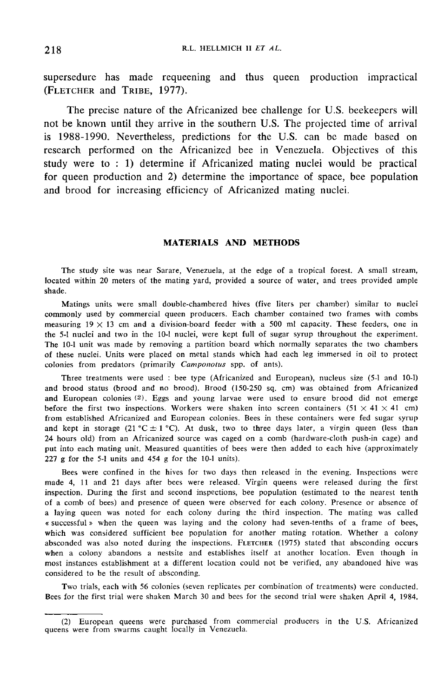supersedure has made requeening and thus queen production impractical supersedure has made reque<br>(FLETCHER and TRIBE, 1977).

The precise nature of the Africanized bee challenge for U.S. beekeepers will not be known until they arrive in the southern U.S. The projected time of arrival is 1988-1990. Nevertheless, predictions for the U.S. can be made based on research performed on the Africanized bee in Venezuela. Objectives of this study were to : 1) determine if Africanized mating nuclei would be practical for queen production and 2) determine the importance of space, bee population and brood for increasing efficiency of Africanized mating nuclei.

## MATERIALS AND METHODS

The study site was near Sarare, Venezuela, at the edge of a tropical forest. A small stream, located within 20 meters of the mating yard, provided a source of water, and trees provided ample shade.

Matings units were small double-chambered hives (five liters per chamber) similar to nuclei commonly used by commercial queen producers. Each chamber contained two frames with combs measuring  $19 \times 13$  cm and a division-board feeder with a 500 ml capacity. These feeders, one in the 5-1 nuclei and two in the 10-1 nuclei, were kept full of sugar syrup throughout the experiment. The 10-1 unit was made by removing a partition board which normally separates the two chambers of these nuclei. Units were placed on metal stands which had each leg immersed in oil to protect colonies from predators (primarily Camponotus spp. of ants).

Three treatments were used : bee type (Africanized and European), nucleus size (5-1 and 10-1) and brood status (brood and no brood). Brood (150-250 sq. cm) was obtained from Africanized and European colonies  $(2)$ . Eggs and young larvae were used to ensure brood did not emerge before the first two inspections. Workers were shaken into screen containers  $(51 \times 41 \times 41$  cm) from established Africanized and European colonies. Bees in these containers were fed sugar syrup and kept in storage (21 °C  $\pm$  1 °C). At dusk, two to three days later, a virgin queen (less than 24 hours old) from an Africanized source was caged on a comb (hardware-cloth push-in cage) and put into each mating unit. Measured quantities of bees were then added to each hive (approximately 227 g for the 5-1 units and 454 g for the 10-1 units).

Bees were confined in the hives for two days then released in the evening. Inspections were made 4, 11 and 21 days after bees were released. Virgin queens were released during the first inspection. During the first and second inspections, bee population (estimated to the nearest tenth of a comb of bees) and presence of queen were observed for each colony. Presence or absence of a laying queen was noted for each colony during the third inspection. The mating was called « successful when the queen was laying and the colony had seven-tenths of a frame of bees, which was considered sufficient bee population for another mating rotation. Whether a colony absconded was also noted during the inspections. FLETCHER (1975) stated that absconding occurs of a comb of bees) and presence of queen were observed for each colony. Presence or absence of a laying queen was noted for each colony during the third inspection. The mating was called « successful » when the queen was l when a colony abandons a nestsite and establishes itself at another location. Even though in most instances establishment at a different location could not be verified, any abandoned hive was considered to be the result of absconding.

Two trials, each with 56 colonies (seven replicates per combination of treatments) were conducted. Bees for the first trial were shaken March 30 and bees for the second trial were shaken April 4, 1984.

<sup>(2)</sup> European queens were purchased from commercial producers in the U.S. Africanized queens were from swarms caught locally in Venezuela.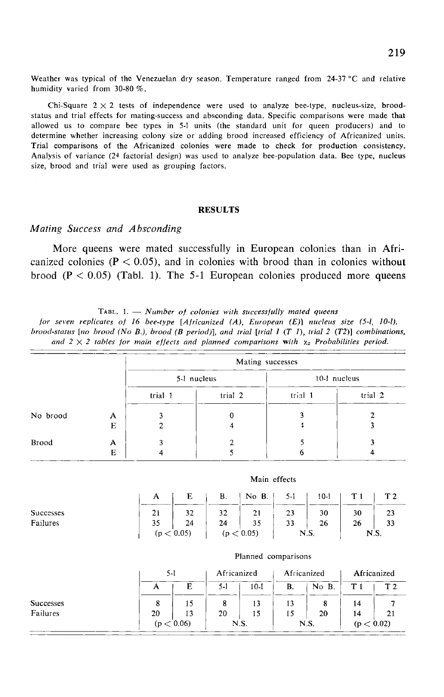Weather was typical of the Venezuelan dry season. Temperature ranged from 24-37 °C and relative humidity varied from 30-80 %.

Chi-Square  $2 \times 2$  tests of independence were used to analyze bee-type, nucleus-size, broodstatus and trial effects for mating-success and absconding data. Specific comparisons were made that allowed us to compare bee types in 5-1 units (the standard unit for queen producers) and to determine whether increasing colony size or adding brood increased efficiency of Africanized units. Trial comparisons of the Africanized colonies were made to check for production consistency. Analysis of variance (24 factorial design) was used to analyze bee-population data. Bee type, nucleus size, brood and trial were used as grouping factors.

#### RESULTS

## Mating Success and Absconding

More queens were mated successfully in European colonies than in Africanized colonies ( $P < 0.05$ ), and in colonies with brood than in colonies without brood  $(P < 0.05)$  (Tabl. 1). The 5-1 European colonies produced more queens

TABL. 1.  $-$  Number of colonies with successfully mated queens

for seven replicates of 16 bee-type [Africanized (A), European (E)] nucleus size (5-1, 10-1), brood-status [no brood (No B.), brood (B period)], and trial [trial 1  $(T1)$ , trial 2  $(T2)$ ] combinations, and  $2 \times 2$  tables for main effects and planned comparisons with  $\chi_2$  Probabilities period.

|          |   | Mating successes |             |              |         |  |  |  |
|----------|---|------------------|-------------|--------------|---------|--|--|--|
|          |   |                  | 5-1 nucleus | 10-1 nucleus |         |  |  |  |
|          |   | trial 1          | trial 2     | trial 1      | trial 2 |  |  |  |
| No brood | A |                  | 0           |              |         |  |  |  |
|          | Е |                  |             |              |         |  |  |  |
| Brood    | А |                  |             |              |         |  |  |  |
|          | Е |                  |             |              |         |  |  |  |

|                  | A  | E          | В. | $\vert$ No B. $\vert$ | 5-1  | $10-1$ |      | T <sub>2</sub> |
|------------------|----|------------|----|-----------------------|------|--------|------|----------------|
| <b>Successes</b> | 21 | 32         | 32 | 21                    | 23   | 30     | 30   | 23             |
| Failures         | 35 | 24         | 24 | 35                    | 33   | 26     | 26   | 33             |
|                  |    | (p < 0.05) |    | (p < 0.05)            | N.S. |        | N.S. |                |

Main effects

Planned comparisons

|                  | 5-I |            | Africanized |          | Africanized |       | Africanized |                |
|------------------|-----|------------|-------------|----------|-------------|-------|-------------|----------------|
|                  | А   | Е          | $5-1$       | $10 - 1$ | В.          | No B. |             | T <sub>2</sub> |
| <b>Successes</b> | 8   | 15         | 8           | 13       | 13          |       | 14          |                |
| Failures         | 20  | 13         | 20          | 15       | 15          | 20    | 14          | 21             |
|                  |     | (p < 0.06) | N.S.        |          |             | N.S.  | (p < 0.02)  |                |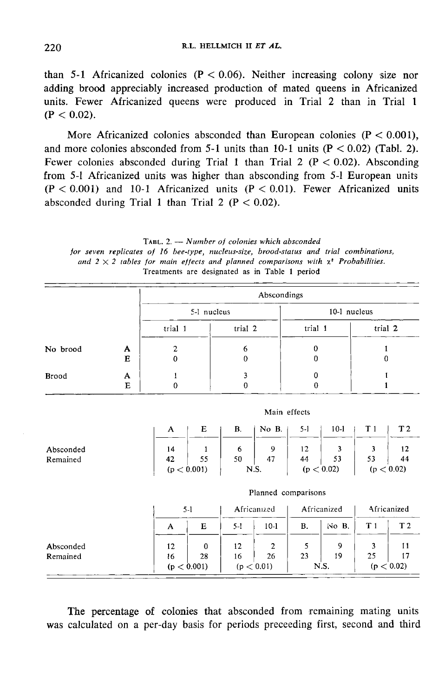than 5-1 Africanized colonies ( $P < 0.06$ ). Neither increasing colony size nor adding brood appreciably increased production of mated queens in Africanized units. Fewer Africanized queens were produced in Trial 2 than in Trial 1  $(P < 0.02)$ .

More Africanized colonies absconded than European colonies ( $P < 0.001$ ), and more colonies absconded from 5-1 units than 10-1 units  $(P < 0.02)$  (Tabl. 2). Fewer colonies absconded during Trial 1 than Trial 2 ( $P < 0.02$ ). Absconding from 5-1 Africanized units was higher than absconding from 5-1 European units  $(P < 0.001)$  and 10-1 Africanized units  $(P < 0.01)$ . Fewer Africanized units absconded during Trial 1 than Trial 2 ( $P < 0.02$ ).

TABL. 2.  $\longrightarrow$  Number of colonies which absconded for seven replicates of 16 bee-type, nucleus-size, brood-status and trial combinations, and  $2 \times 2$  tables for main effects and planned comparisons with  $x^*$  Probabilities. Treatments are designated as in Table 1 period

|                       |        | Abscondings                                            |                                                |                                                        |                                                       |  |  |  |  |  |
|-----------------------|--------|--------------------------------------------------------|------------------------------------------------|--------------------------------------------------------|-------------------------------------------------------|--|--|--|--|--|
|                       |        | 5-1 nucleus                                            |                                                | 10-1 nucleus                                           |                                                       |  |  |  |  |  |
|                       |        | trial 1                                                | trial 2                                        | trial 1                                                | trial 2                                               |  |  |  |  |  |
| No brood              | A<br>E | $\mathbf{2}$<br>$\bf{0}$                               | 6<br>0                                         | 0<br>0                                                 | 1<br>$\bf{0}$                                         |  |  |  |  |  |
| Brood                 | A<br>E | I<br>$\mathbf{0}$                                      | 3<br>$\pmb{0}$                                 | 0<br>$\bf{0}$                                          | t<br>$\mathbf{1}$                                     |  |  |  |  |  |
|                       |        | Main effects                                           |                                                |                                                        |                                                       |  |  |  |  |  |
|                       |        | Е<br>A                                                 | No B.<br>В.                                    | $10-1$<br>$5-1$                                        | T <sub>2</sub><br>T <sub>1</sub>                      |  |  |  |  |  |
| Absconded<br>Remained |        | 14<br>1<br>42<br>55<br>$\left(\mathrm{p}<0.001\right)$ | 9<br>6<br>47<br>50<br>N.S.                     | 12<br>3<br>53<br>44<br>$\left( {\rm p} < 0.02 \right)$ | 3<br>12<br>53<br>44<br>(p < 0.02)                     |  |  |  |  |  |
|                       |        | Planned comparisons                                    |                                                |                                                        |                                                       |  |  |  |  |  |
|                       |        | $5-1$                                                  | Africanized                                    | Africanized                                            | Africanized                                           |  |  |  |  |  |
|                       |        | E<br>$\mathbf{A}$                                      | $5-1$<br>$10-1$                                | <b>B.</b><br>$No$ $B$ .                                | T <sub>1</sub><br>T <sub>2</sub>                      |  |  |  |  |  |
| Absconded<br>Remained |        | 12<br>0<br>16<br>28<br>(p < 0.001)                     | $\overline{c}$<br>12<br>26<br>16<br>(p < 0.01) | 5<br>9<br>23<br>19<br>N.S.                             | 3<br>11<br>25<br>17<br>$\left(\mathrm{p}<0.02\right)$ |  |  |  |  |  |

The percentage of colonies that absconded from remaining mating units was calculated on a per-day basis for periods preceeding first, second and third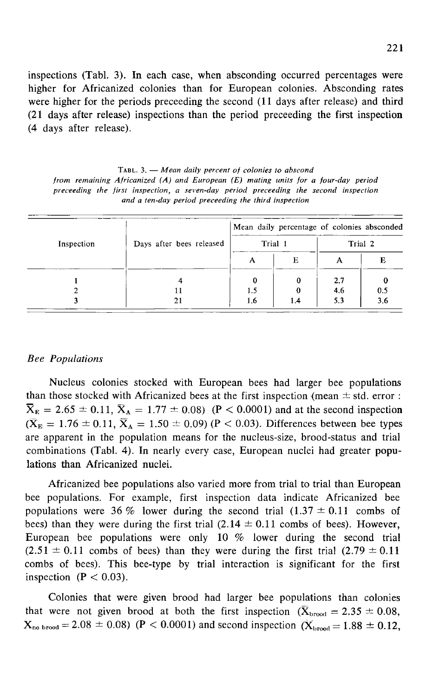inspections (Tabl. 3). In each case, when absconding occurred percentages were higher for Africanized colonies than for European colonies. Absconding rates were higher for the periods preceeding the second (11 days after release) and third (21 days after release) inspections than the period preceeding the first inspection (4 days after release).

TABL.  $3.$  - Mean daily percent of colonies to abscond from remaining Africanized  $(A)$  and European  $(E)$  mating units for a four-day period preceeding the first inspection, a seven-day period preceeding the second inspection and a ten-day period preceeding the third inspection

|            |                          | Mean daily percentage of colonies absconded |     |         |     |  |  |
|------------|--------------------------|---------------------------------------------|-----|---------|-----|--|--|
| Inspection | Days after bees released | Trial 1                                     |     | Trial 2 |     |  |  |
|            |                          | А                                           | Е   | А       | Е   |  |  |
|            |                          |                                             | 0   | 2.7     |     |  |  |
|            |                          | 1.5                                         |     | 4.6     | 0.5 |  |  |
|            |                          | 1.6                                         | 1.4 | 5.3     | 3.6 |  |  |

## Bee Populations

Nucleus colonies stocked with European bees had larger bee populations than those stocked with Africanized bees at the first inspection (mean  $\pm$  std. error :  $\overline{X}_{E} = 2.65 \pm 0.11$ ,  $\overline{X}_{A} = 1.77 \pm 0.08$ ) (P < 0.0001) and at the second inspection  $(\bar{X}_{E} = 1.76 \pm 0.11, \bar{X}_{A} = 1.50 \pm 0.09)$  (P < 0.03). Differences between bee types are apparent in the population means for the nucleus-size, brood-status and trial combinations (Tabl. 4). In nearly every case, European nuclei had greater populations than Africanized nuclei.

Africanized bee populations also varied more from trial to trial than European bee populations. For example, first inspection data indicate Africanized bee populations were 36 % lower during the second trial  $(1.37 \pm 0.11$  combs of bees) than they were during the first trial  $(2.14 \pm 0.11$  combs of bees). However, European bee populations were only 10 % lower during the second trial  $(2.51 \pm 0.11$  combs of bees) than they were during the first trial  $(2.79 \pm 0.11)$ combs of bees). This bee-type by trial interaction is significant for the first inspection  $(P < 0.03)$ .

Colonies that were given brood had larger bee populations than colonies that were not given brood at both the first inspection ( $\bar{X}_{\text{broad}} = 2.35 \pm 0.08$ ,  $X_{\text{no broad}} = 2.08 \pm 0.08$  (P < 0.0001) and second inspection ( $\bar{X}_{\text{broad}} = 1.88 \pm 0.12$ ,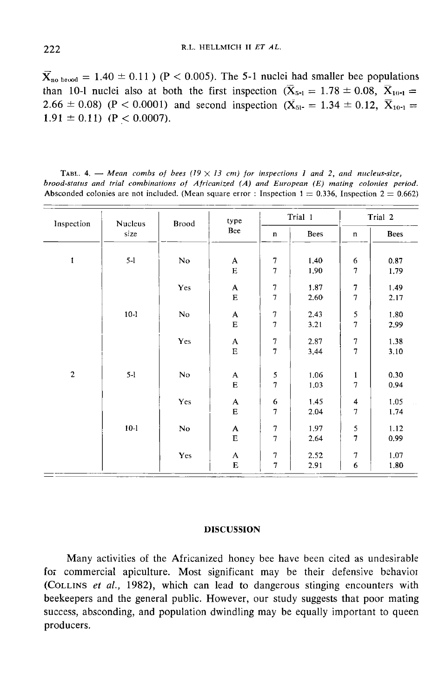$\bar{X}_{\text{no broad}} = 1.40 \pm 0.11$  ) (P < 0.005). The 5-1 nuclei had smaller bee populations  $\overline{X}_{\text{no broad}} = 1.40 \pm 0.11$  (P < 0.005). The 5-1 nuclei had smaller bee population than 10-1 nuclei also at both the first inspection ( $\overline{X}_{5-1} = 1.78 \pm 0.08$ ,  $\overline{X}_{10-1} = 2.66 \pm 0.08$ ) (P < 0.0001) and second inspect than 10-1 nuclei also at both the first inspection  $(\bar{X}_{5-1} = 1.78 \pm 0.08, \ \bar{X}_{10-1} = 2.66 \pm 0.08)$  (P < 0.0001) and second inspection  $(\bar{X}_{51-} = 1.34 \pm 0.12, \ \bar{X}_{10-1} =$  $1.91 \pm 0.11$  (P < 0.0007).

TABL. 4. - Mean combs of bees ( $19 \times 13$  cm) for inspections 1 and 2, and nucleus-size, brood-status and trial combinations of Africanized (A) and European (E) mating colonies period. Absconded colonies are not included. (Mean square error : Inspection  $1 = 0.336$ . Inspection  $2 = 0.662$ )

| Inspection     | Nucleus<br>size |     | type<br>Brood<br>Bee      |                  | Trial 1 |                  | Trial 2     |  |
|----------------|-----------------|-----|---------------------------|------------------|---------|------------------|-------------|--|
|                |                 |     |                           | $\mathbf n$      | Bees    | $\mathbf n$      | <b>Bees</b> |  |
| $\mathbf{1}$   | $5-1$           | No  | A                         | 7                | 1.40    | 6                | 0.87        |  |
|                |                 |     | ${\bf E}$                 | $\overline{7}$   | 1.90    | 7                | 1.79        |  |
|                |                 | Yes | $\mathbf{A}$              | $\overline{7}$   | 1.87    | $\overline{7}$   | 1.49        |  |
|                |                 |     | E                         | $\overline{7}$   | 2.60    | $\boldsymbol{7}$ | 2.17        |  |
|                | $10-1$          | No  | $\boldsymbol{\mathsf{A}}$ | $\boldsymbol{7}$ | 2.43    | 5                | 1.80        |  |
|                |                 |     | ${\bf E}$                 | $\tau$           | 3.21    | $\boldsymbol{7}$ | 2.99        |  |
|                |                 | Yes | $\mathbf{A}$              | 7                | 2.87    | 7                | 1.38        |  |
|                |                 |     | $\mathbf E$               | $\overline{7}$   | 3.44    | $\overline{7}$   | 3.10        |  |
| $\overline{c}$ | $5-1$           | No  | A                         | 5                | 1.06    | $\mathbf{1}$     | 0.30        |  |
|                |                 |     | $\bf E$                   | $\overline{7}$   | 1.03    | 7                | 0.94        |  |
|                |                 | Yes | A                         | 6                | 1,45    | 4                | 1.05        |  |
|                |                 |     | E                         | $\tau$           | 2.04    | $\boldsymbol{7}$ | 1.74        |  |
|                | $10-1$          | No  | $\boldsymbol{\mathsf{A}}$ | $\boldsymbol{7}$ | 1.97    | 5                | 1.12        |  |
|                |                 |     | $\mathbf E$               | $\overline{7}$   | 2.64    | $\overline{7}$   | 0.99        |  |
|                |                 | Yes | A                         | 7                | 2.52    | 7                | 1.07        |  |
|                |                 |     | $\bf E$                   | $\overline{7}$   | 2.91    | 6                | 1,80        |  |

#### DISCUSSION

Many activities of the Africanized honey bee have been cited as undesirable for commercial apiculture. Most significant may be their defensive behavior Many activities of the Africanized honey bee have been cited as undesirable<br>for commercial apiculture. Most significant may be their defensive behavior<br>(COLLINS *et al.*, 1982), which can lead to dangerous stinging encount beekeepers and the general public. However, our study suggests that poor mating success, absconding, and population dwindling may be equally important to queen producers.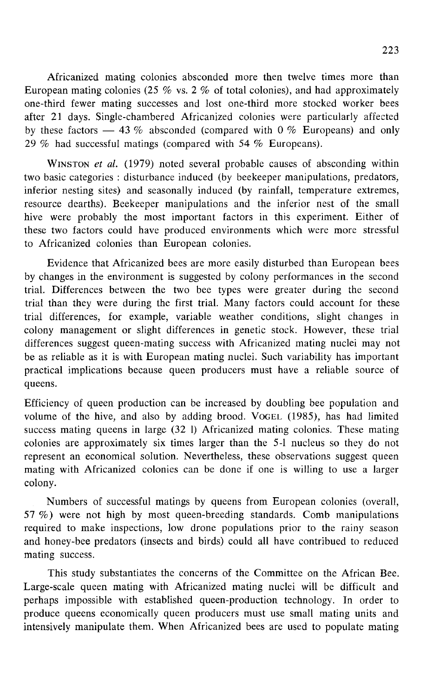Africanized mating colonies absconded more then twelve times more than European mating colonies (25 % vs. 2 % of total colonies), and had approximately one-third fewer mating successes and lost one-third more stocked worker bees after 21 days. Single-chambered Africanized colonies were particularly affected by these factors  $-$  43 % absconded (compared with 0 % Europeans) and only 29 % had successful matings (compared with 54 % Europeans). one-third fewer mating successes and lost one-third more stocked worker bees<br>after 21 days. Single-chambered Africanized colonies were particularly affected<br>by these factors — 43 % absconded (compared with 0 % Europeans)

inferior nesting sites) and seasonally induced (by rainfall, temperature extremes, resource dearths). Beekeeper manipulations and the inferior nest of the small hive were probably the most important factors in this experiment. Either of these two factors could have produced environments which were more stressful to Africanized colonies than European colonies.

Evidence that Africanized bees are more easily disturbed than European bees by changes in the environment is suggested by colony performances in the second trial. Differences between the two bee types were greater during the second trial than they were during the first trial. Many factors could account for these trial differences, for example, variable weather conditions, slight changes in colony management or slight differences in genetic stock. However, these trial differences suggest queen-mating success with Africanized mating nuclei may not be as reliable as it is with European mating nuclei. Such variability has important practical implications because queen producers must have a reliable source of queens.

Efficiency of queen production can be increased by doubling bee population and volume of the hive, and also by adding brood. VoceL (1985), has had limited success mating queens in large (32 1) Africanized mating colonies. These mating colonies are approximately six times larger than the 5-1 nucleus so they do not represent an economical solution. Nevertheless, these observations suggest queen mating with Africanized colonies can be done if one is willing to use a larger colony.

Numbers of successful matings by queens from European colonies (overall, 57 %) were not high by most queen-breeding standards. Comb manipulations required to make inspections, low drone populations prior to the rainy season and honey-bee predators (insects and birds) could all have contribued to reduced mating success.

This study substantiates the concerns of the Committee on the African Bee. Large-scale queen mating with Africanized mating nuclei will be difficult and perhaps impossible with established queen-production technology. In order to produce queens economically queen producers must use small mating units and intensively manipulate them. When Africanized bees are used to populate mating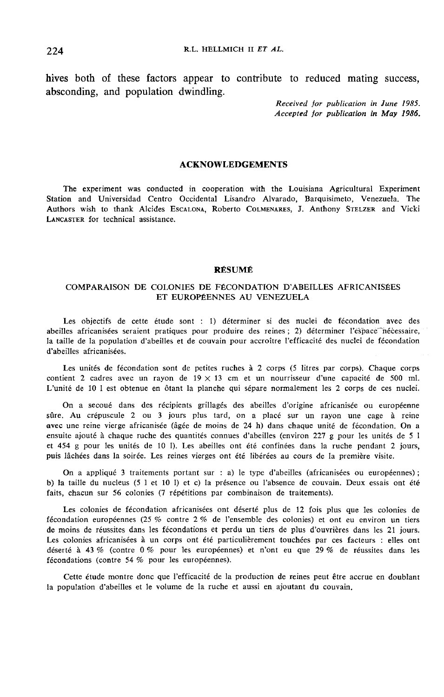hives both of these factors appear to contribute to reduced mating success, absconding, and population dwindling.

> Received for publication in June 1985. Accepted for publication in May 1986.

### ACKNOWLEDGEMENTS

The experiment was conducted in cooperation with the Louisiana Agricultural Experiment Station and Universidad Centro Occidental Lisandro Alvarado, Barquisimeto, Venezuela. The Authors wish to thank Alcides Escalona, Roberto COLMENARES, J. Anthony STELZER and Vicki LANCASTER for technical assistance.

#### RÉSUMÉ

#### COMPARAISON DE COLONIES DE FÉCONDATION D'ABEILLES AFRICANISÉES ET EUROPÉENNES AU VENEZUELA

Les objectifs de cette étude sont : 1) déterminer si des nuclei de fécondation avec des abeilles africanisées seraient pratiques pour produire des reines ; 2) déterminer l'espace nécessaire, la taille de la population d'abeilles et de couvain pour accroître l'efficacité des nuclei de fécondation d'abeilles africanisées.

Les unités de fécondation sont de petites ruches à 2 corps (5 litres par corps). Chaque corps contient 2 cadres avec un rayon de  $19 \times 13$  cm et un nourrisseur d'une capacité de 500 ml. L'unité de 10 1 est obtenue en ôtant la planche qui sépare normalement les 2 corps de ces nuclei.

On a secoué dans des récipients grillagés des abeilles d'origine africanisée ou européenne sûre. Au crépuscule 2 ou 3 jours plus tard, on a placé sur un rayon une cage à reine avec une reine vierge africanisée (âgée de moins de 24 h) dans chaque unité de fécondation. On a ensuite ajouté à chaque ruche des quantités connues d'abeilles (environ 227 g pour les unités de 5 1 et 454 g pour les unités de 10 1). Les abeilles ont été confinées dans la ruche pendant 2 jours, puis lâchées dans la soirée. Les reines vierges ont été libérées au cours de la première visite.

On a appliqué 3 traitements portant sur : a) le type d'abeilles (africanisées ou européennes) ; b) la taille du nucleus (5 1 et 10 1) et c) la présence ou l'absence de couvain. Deux essais ont été faits, chacun sur 56 colonies (7 répétitions par combinaison de traitements).

Les colonies de fécondation africanisées ont déserté plus de 12 fois plus que les colonies de fécondation européennes (25 % contre 2 % de l'ensemble des colonies) et ont eu environ un tiers de moins de réussites dans les fécondations et perdu un tiers de plus d'ouvrières dans les 21 jours. Les colonies africanisées à un corps ont été particulièrement touchées par ces facteurs : elles ont déserté à 43 % (contre 0 % pour les européennes) et n'ont eu que 29 % de réussites dans les fécondations (contre 54 % pour les européennes).

Cette étude montre donc que l'efficacité de la production de reines peut être accrue en doublant la population d'abeilles et le volume de la ruche et aussi en ajoutant du couvain.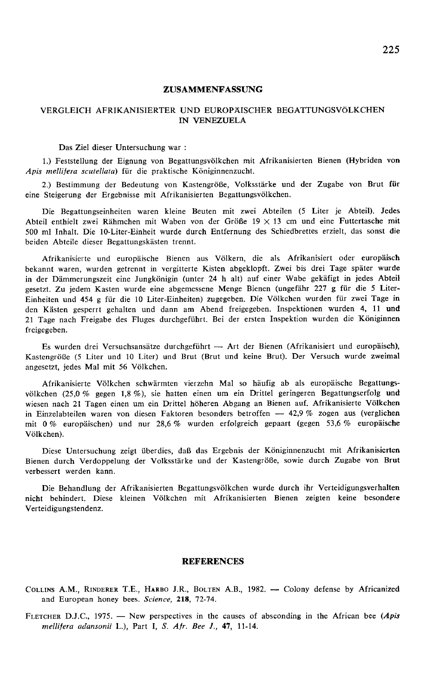#### ZUSAMMENFASSUNG

### VERGLEICH AFRIKANISIERTER UND EUROPÄISCHER BEGATTUNGSVÖLKCHEN IN VENEZUELA

#### Das Ziel dieser Untersuchung war :

1.) Feststellung der Eignung von Begattungsvölkchen mit Afrikanisierten Bienen (Hybriden von Apis mellifera scutellata) für die praktische Königinnenzucht.

2.) Bestimmung der Bedeutung von Kastengröße, Volksstärke und der Zugabe von Brut für eine Steigerung der Ergebnisse mit Afrikanisierten Begattungsvölkchen.

Die Begattungseinheiten waren kleine Beuten mit zwei Abteilen (5 Liter je Abteil). Jedes Abteil enthielt zwei Rähmchen mit Waben von der Größe  $19 \times 13$  cm und eine Futtertasche mit 500 ml Inhalt. Die 10-Liter-Einheit wurde durch Entfernung des Schiedbrettes erzielt, das sonst die beiden Abteile dieser Begattungskästen trennt.

Afrikanisierte und europäische Bienen aus Völkern, die als Afrikanisiert oder europäisch bekannt waren, wurden getrennt in vergitterte Kisten abgeklopft. Zwei bis drei Tage später wurde in der Dämmerungszeit eine Jungkönigin (unter 24 h alt) auf einer Wabe gekäfigt in jedes Abteil gesetzt. Zu jedem Kasten wurde eine abgemessene Menge Bienen (ungefähr 227 g für die 5 Liter-Einheiten und 454 g für die 10 Liter-Einheiten) zugegeben. Die Völkchen wurden für zwei Tage in den Kästen gesperrt gehalten und dann am Abend freigegeben. Inspektionen wurden 4, 11 und 21 Tage nach Freigabe des Fluges durchgeführt. Bei der ersten Inspektion wurden die Königinnen freigegeben.

Es wurden drei Versuchsansätze durchgeführt - Art der Bienen (Afrikanisiert und europäisch), Kastengröße (5 Liter und 10 Liter) und Brut (Brut und keine Brut). Der Versuch wurde zweimal angesetzt, jedes Mal mit S6 Völkchen.

Afrikanisierte Völkchen schwärmten vierzehn Mal so häufig ab als europäische Begattungsvölkchen (25,0 % gegen 1,8 %), sie hatten einen um ein Drittel geringeren Begattungserfolg und wiesen nach 21 Tagen einen um ein Drittel höheren Abgang an Bienen auf. Afrikanisierte Völkchen in Einzelabteilen waren von diesen Faktoren besonders betroffen  $-42.9\%$  zogen aus (verglichen mit 0 % europäischen) und nur 28,6 % wurden erfolgreich gepaart (gegen 53,6 % europäische Völkchen).

Diese Untersuchung zeigt überdies, daß das Ergebnis der Königinnenzucht mit Afrikanisierten Bienen durch Verdoppelung der Volksstärke und der Kastengröße, sowie durch Zugabe von Brut verbessert werden kann.

Die Behandlung der Afrikanisierten Begattungsvölkchen wurde durch ihr Verteidigungsverhalten nicht behindert. Diese kleinen Völkchen mit Afrikanisierten Bienen zeigten keine besondere Verteidigungstendenz.

#### **REFERENCES**

**REFERENCES**<br>COLLINS A.M., RINDERER T.E., HARBO J.R., BOLTEN A.B., 1982. — Colony defense by Africanized<br>and European honey bees. Science, 218, 72-74. and European honey bees. Science, 218, 72-74. COLLINS A.M., RINDERER T.E., HARBO J.R., BOLTEN A.B., 1982. - Colony defense by Africanized<br>and European honey bees. Science, 218, 72-74.<br>FLETCHER D.J.C., 1975. -- New perspectives in the causes of absconding in the Afric

mellifera adansonii L.), Part I, S. Afr. Bee J., 47, 11-14.